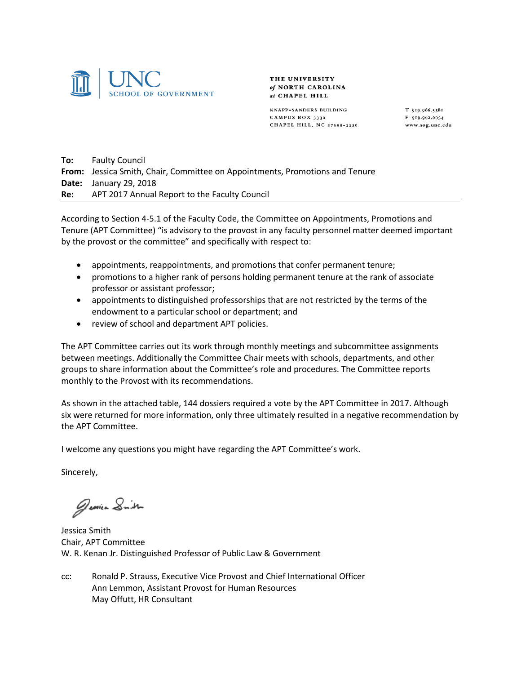

THE UNIVERSITY of NORTH CAROLINA at CHAPEL HILL

KNAPP-SANDERS BUILDING CAMPUS BOX 3330 CHAPEL HILL, NC 27599-3330 T 919.966.5381 F 919.962.0654 www.sog.unc.edu

**To:** Faulty Council **From:** Jessica Smith, Chair, Committee on Appointments, Promotions and Tenure **Date:** January 29, 2018 **Re:** APT 2017 Annual Report to the Faculty Council

According to Section 4-5.1 of the Faculty Code, the Committee on Appointments, Promotions and Tenure (APT Committee) "is advisory to the provost in any faculty personnel matter deemed important by the provost or the committee" and specifically with respect to:

- appointments, reappointments, and promotions that confer permanent tenure;
- promotions to a higher rank of persons holding permanent tenure at the rank of associate professor or assistant professor;
- appointments to distinguished professorships that are not restricted by the terms of the endowment to a particular school or department; and
- review of school and department APT policies.

The APT Committee carries out its work through monthly meetings and subcommittee assignments between meetings. Additionally the Committee Chair meets with schools, departments, and other groups to share information about the Committee's role and procedures. The Committee reports monthly to the Provost with its recommendations.

As shown in the attached table, 144 dossiers required a vote by the APT Committee in 2017. Although six were returned for more information, only three ultimately resulted in a negative recommendation by the APT Committee.

I welcome any questions you might have regarding the APT Committee's work.

Sincerely,

Jessien Smith

Jessica Smith Chair, APT Committee W. R. Kenan Jr. Distinguished Professor of Public Law & Government

cc: Ronald P. Strauss, Executive Vice Provost and Chief International Officer Ann Lemmon, Assistant Provost for Human Resources May Offutt, HR Consultant